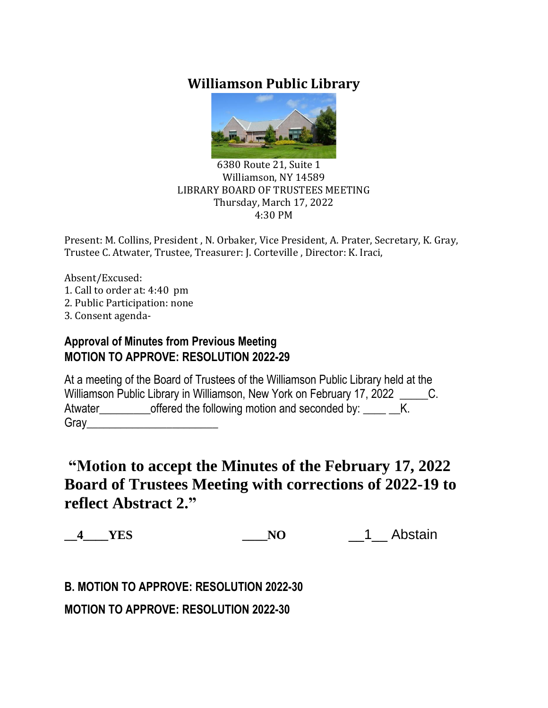# **Williamson Public Library**



#### 6380 Route 21, Suite 1 Williamson, NY 14589 LIBRARY BOARD OF TRUSTEES MEETING Thursday, March 17, 2022 4:30 PM

Present: M. Collins, President , N. Orbaker, Vice President, A. Prater, Secretary, K. Gray, Trustee C. Atwater, Trustee, Treasurer: J. Corteville , Director: K. Iraci,

Absent/Excused: 1. Call to order at: 4:40 pm 2. Public Participation: none 3. Consent agenda-

## **Approval of Minutes from Previous Meeting MOTION TO APPROVE: RESOLUTION 2022-29**

At a meeting of the Board of Trustees of the Williamson Public Library held at the Williamson Public Library in Williamson, New York on February 17, 2022 C. Atwater\_\_\_\_\_\_\_\_\_\_\_offered the following motion and seconded by: \_\_\_\_ \_K. Gray\_\_\_\_\_\_\_\_\_\_\_\_\_\_\_\_\_\_\_\_\_\_\_

# **"Motion to accept the Minutes of the February 17, 2022 Board of Trustees Meeting with corrections of 2022-19 to reflect Abstract 2."**

**\_\_4\_\_\_\_YES \_\_\_\_NO** \_\_1\_\_ Abstain

**B. MOTION TO APPROVE: RESOLUTION 2022-30**

**MOTION TO APPROVE: RESOLUTION 2022-30**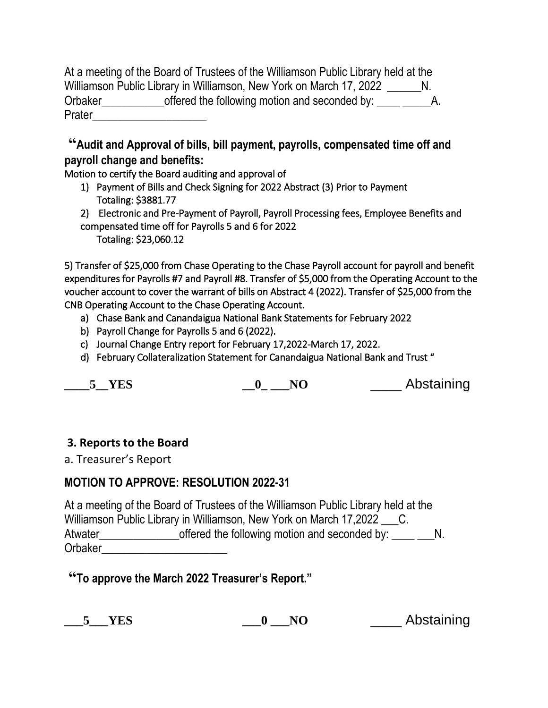|         | At a meeting of the Board of Trustees of the Williamson Public Library held at the |    |
|---------|------------------------------------------------------------------------------------|----|
|         | Williamson Public Library in Williamson, New York on March 17, 2022                |    |
| Orbaker | offered the following motion and seconded by:                                      | Α. |
| Prater  |                                                                                    |    |

**"Audit and Approval of bills, bill payment, payrolls, compensated time off and payroll change and benefits:**

Motion to certify the Board auditing and approval of

- 1) Payment of Bills and Check Signing for 2022 Abstract (3) Prior to Payment Totaling: \$3881.77
- 2) Electronic and Pre-Payment of Payroll, Payroll Processing fees, Employee Benefits and compensated time off for Payrolls 5 and 6 for 2022

Totaling: \$23,060.12

5) Transfer of \$25,000 from Chase Operating to the Chase Payroll account for payroll and benefit expenditures for Payrolls #7 and Payroll #8. Transfer of \$5,000 from the Operating Account to the voucher account to cover the warrant of bills on Abstract 4 (2022). Transfer of \$25,000 from the CNB Operating Account to the Chase Operating Account.

- a) Chase Bank and Canandaigua National Bank Statements for February 2022
- b) Payroll Change for Payrolls 5 and 6 (2022).
- c) Journal Change Entry report for February 17,2022-March 17, 2022.
- d) February Collateralization Statement for Canandaigua National Bank and Trust "

**EXECUTE:**  $\overline{O}$  **NO Abstaining** 

#### **3. Reports to the Board**

a. Treasurer's Report

## **MOTION TO APPROVE: RESOLUTION 2022-31**

At a meeting of the Board of Trustees of the Williamson Public Library held at the Williamson Public Library in Williamson, New York on March 17,2022 \_\_\_\_C. Atwater\_\_\_\_\_\_\_\_\_\_\_\_\_\_\_\_\_\_\_offered the following motion and seconded by: \_\_\_\_ \_\_\_N. Orbaker

**"To approve the March 2022 Treasurer's Report."**

**\_\_\_5\_\_\_YES \_\_\_0 \_\_\_NO** \_\_\_\_ Abstaining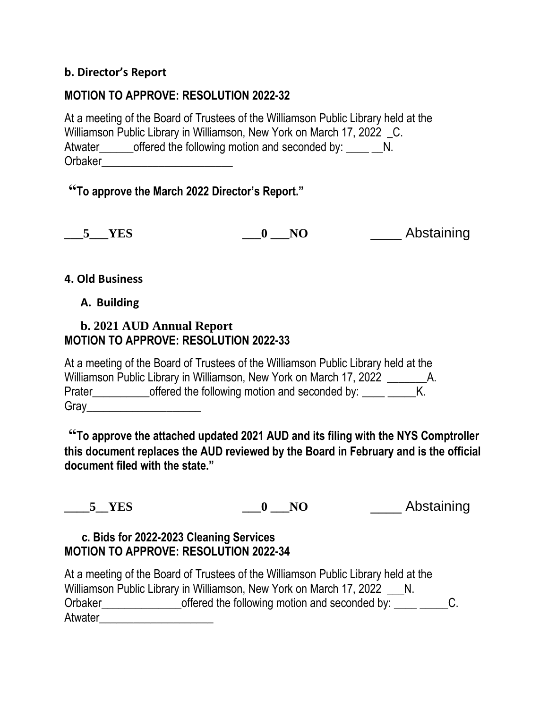#### **b. Director's Report**

### **MOTION TO APPROVE: RESOLUTION 2022-32**

At a meeting of the Board of Trustees of the Williamson Public Library held at the Williamson Public Library in Williamson, New York on March 17, 2022 C. Atwater\_\_\_\_\_\_offered the following motion and seconded by: \_\_\_\_ \_N. Orbaker\_\_\_\_\_\_\_\_\_\_\_\_\_\_\_\_\_\_\_\_\_\_\_

## **"To approve the March 2022 Director's Report."**

**\_\_\_5\_\_\_YES \_\_\_0 \_\_\_NO** \_\_\_\_ Abstaining

#### **4. Old Business**

#### **A. Building**

### **b. 2021 AUD Annual Report MOTION TO APPROVE: RESOLUTION 2022-33**

At a meeting of the Board of Trustees of the Williamson Public Library held at the Williamson Public Library in Williamson, New York on March 17, 2022 \_\_\_\_\_\_\_\_\_\_\_\_ A. Prater\_\_\_\_\_\_\_\_\_\_\_\_offered the following motion and seconded by: \_\_\_\_ \_\_\_\_\_\_K.  $Gray$ 

**"To approve the attached updated 2021 AUD and its filing with the NYS Comptroller this document replaces the AUD reviewed by the Board in February and is the official document filed with the state."**

**\_\_\_\_5\_\_YES \_\_\_0 \_\_\_NO** \_\_\_\_ Abstaining

## **c. Bids for 2022-2023 Cleaning Services MOTION TO APPROVE: RESOLUTION 2022-34**

|                | At a meeting of the Board of Trustees of the Williamson Public Library held at the |  |
|----------------|------------------------------------------------------------------------------------|--|
|                | Williamson Public Library in Williamson, New York on March 17, 2022                |  |
| <b>Orbaker</b> | offered the following motion and seconded by:                                      |  |
| Atwater        |                                                                                    |  |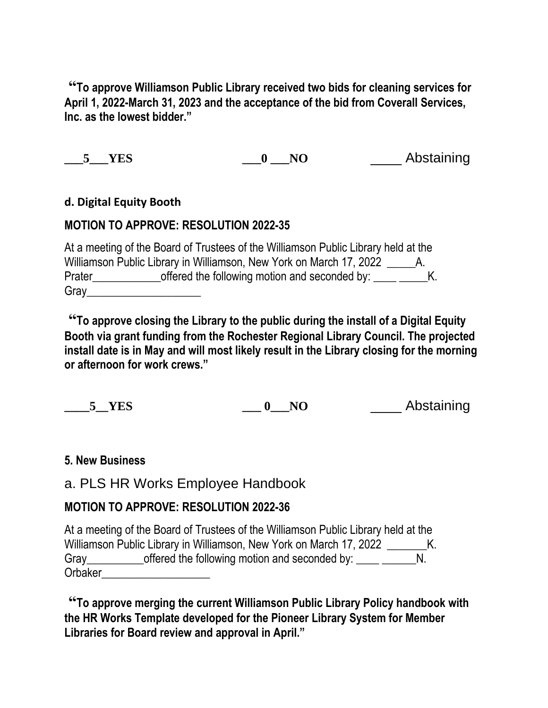**"To approve Williamson Public Library received two bids for cleaning services for April 1, 2022-March 31, 2023 and the acceptance of the bid from Coverall Services, Inc. as the lowest bidder."**

**\_\_\_5\_\_\_YES \_\_\_0 \_\_\_NO** \_\_\_\_ Abstaining

#### **d. Digital Equity Booth**

## **MOTION TO APPROVE: RESOLUTION 2022-35**

At a meeting of the Board of Trustees of the Williamson Public Library held at the Williamson Public Library in Williamson, New York on March 17, 2022 A. Prater\_\_\_\_\_\_\_\_\_\_\_\_\_\_\_\_offered the following motion and seconded by: \_\_\_\_\_\_\_\_\_\_\_\_K. Gray\_\_\_\_\_\_\_\_\_\_\_\_\_\_\_\_\_\_\_\_

**"To approve closing the Library to the public during the install of a Digital Equity Booth via grant funding from the Rochester Regional Library Council. The projected install date is in May and will most likely result in the Library closing for the morning or afternoon for work crews."**

**\_\_\_\_5\_\_YES \_\_\_ 0\_\_\_NO** \_\_\_\_ Abstaining

## **5. New Business**

## a. PLS HR Works Employee Handbook

## **MOTION TO APPROVE: RESOLUTION 2022-36**

At a meeting of the Board of Trustees of the Williamson Public Library held at the Williamson Public Library in Williamson, New York on March 17, 2022 \_\_\_\_\_\_\_\_\_K. Gray\_\_\_\_\_\_\_\_\_\_\_\_\_offered the following motion and seconded by: \_\_\_\_\_ \_\_\_\_\_\_\_N. Orbaker

**"To approve merging the current Williamson Public Library Policy handbook with the HR Works Template developed for the Pioneer Library System for Member Libraries for Board review and approval in April."**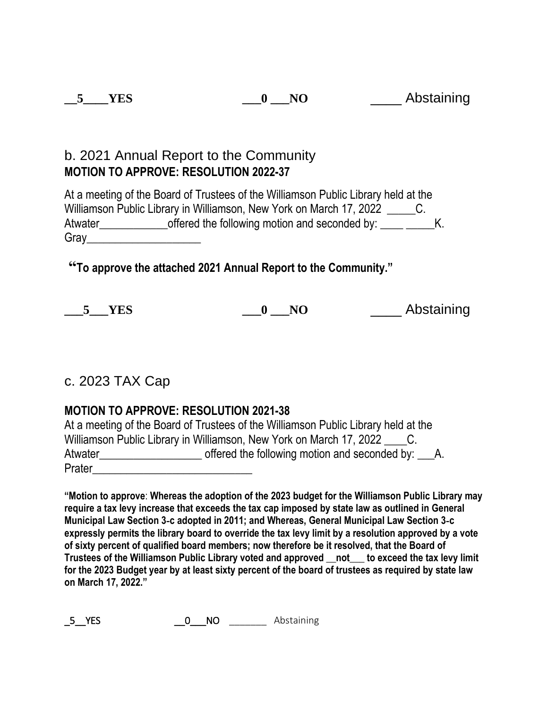| <b>YES</b> | N <sub>O</sub> | Abstaining |
|------------|----------------|------------|
|            |                |            |

## b. 2021 Annual Report to the Community **MOTION TO APPROVE: RESOLUTION 2022-37**

At a meeting of the Board of Trustees of the Williamson Public Library held at the Williamson Public Library in Williamson, New York on March 17, 2022 \_\_\_\_\_\_\_\_C. Atwater\_\_\_\_\_\_\_\_\_\_\_\_\_\_\_offered the following motion and seconded by: \_\_\_\_\_\_\_\_\_\_K.  $Gray$ 

**"To approve the attached 2021 Annual Report to the Community."**

**5 YES 0 NO Abstaining** 

## c. 2023 TAX Cap

## **MOTION TO APPROVE: RESOLUTION 2021-38**

|         | At a meeting of the Board of Trustees of the Williamson Public Library held at the |
|---------|------------------------------------------------------------------------------------|
|         | Williamson Public Library in Williamson, New York on March 17, 2022 _______C.      |
| Atwater | offered the following motion and seconded by: A.                                   |
| Prater  |                                                                                    |

**"Motion to approve**: **Whereas the adoption of the 2023 budget for the Williamson Public Library may require a tax levy increase that exceeds the tax cap imposed by state law as outlined in General Municipal Law Section 3**‐**c adopted in 2011; and Whereas, General Municipal Law Section 3**‐**c** expressly permits the library board to override the tax levy limit by a resolution approved by a vote **of sixty percent of qualified board members; now therefore be it resolved, that the Board of Trustees of the Williamson Public Library voted and approved \_\_not\_\_\_ to exceed the tax levy limit** for the 2023 Budget year by at least sixty percent of the board of trustees as required by state law **on March 17, 2022."**

\_5\_\_YES \_\_0\_\_\_NO \_\_\_\_\_\_\_ Abstaining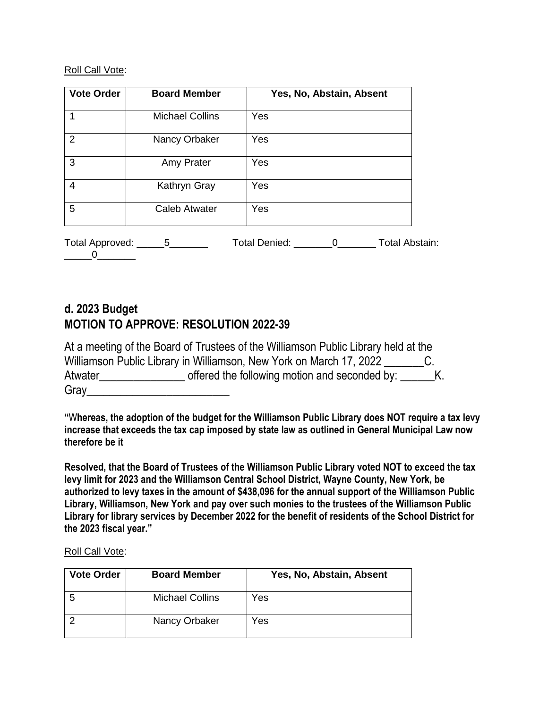#### Roll Call Vote:

| <b>Vote Order</b> | <b>Board Member</b>              | Yes, No, Abstain, Absent          |
|-------------------|----------------------------------|-----------------------------------|
|                   | <b>Michael Collins</b>           | Yes                               |
| 2                 | Nancy Orbaker                    | Yes                               |
| 3                 | Amy Prater                       | Yes                               |
| $\overline{4}$    | Kathryn Gray                     | Yes                               |
| 5                 | <b>Caleb Atwater</b>             | Yes                               |
|                   | Total Approved: _______5________ | Total Denied: 0<br>Total Abstain: |

## **d. 2023 Budget MOTION TO APPROVE: RESOLUTION 2022-39**

|         | At a meeting of the Board of Trustees of the Williamson Public Library held at the |  |
|---------|------------------------------------------------------------------------------------|--|
|         | Williamson Public Library in Williamson, New York on March 17, 2022                |  |
| Atwater | offered the following motion and seconded by:                                      |  |
| Gray    |                                                                                    |  |

**"**W**hereas, the adoption of the budget for the Williamson Public Library does NOT require a tax levy increase that exceeds the tax cap imposed by state law as outlined in General Municipal Law now therefore be it**

**Resolved, that the Board of Trustees of the Williamson Public Library voted NOT to exceed the tax levy limit for 2023 and the Williamson Central School District, Wayne County, New York, be authorized to levy taxes in the amount of \$438,096 for the annual support of the Williamson Public Library, Williamson, New York and pay over such monies to the trustees of the Williamson Public Library for library services by December 2022 for the benefit of residents of the School District for the 2023 fiscal year."**

Roll Call Vote:

| <b>Vote Order</b> | <b>Board Member</b>    | Yes, No, Abstain, Absent |
|-------------------|------------------------|--------------------------|
|                   | <b>Michael Collins</b> | Yes                      |
|                   | Nancy Orbaker          | Yes                      |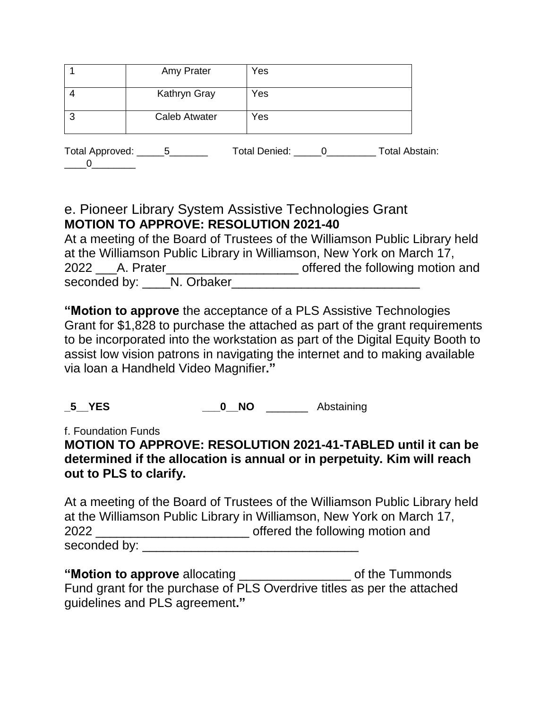|                           | Amy Prater           | Yes             |                       |
|---------------------------|----------------------|-----------------|-----------------------|
|                           | Kathryn Gray         | Yes             |                       |
| -3                        | <b>Caleb Atwater</b> | Yes             |                       |
| Total Approved: _______5_ |                      | Total Denied: 0 | <b>Total Abstain:</b> |

## e. Pioneer Library System Assistive Technologies Grant **MOTION TO APPROVE: RESOLUTION 2021-40**

At a meeting of the Board of Trustees of the Williamson Public Library held at the Williamson Public Library in Williamson, New York on March 17, 2022 \_\_\_A. Prater\_\_\_\_\_\_\_\_\_\_\_\_\_\_\_\_\_\_\_ offered the following motion and seconded by: N. Orbaker

**"Motion to approve** the acceptance of a PLS Assistive Technologies Grant for \$1,828 to purchase the attached as part of the grant requirements to be incorporated into the workstation as part of the Digital Equity Booth to assist low vision patrons in navigating the internet and to making available via loan a Handheld Video Magnifier**."**

**\_5\_\_YES \_\_\_0\_\_NO** \_\_\_\_\_\_\_ Abstaining

f. Foundation Funds

## **MOTION TO APPROVE: RESOLUTION 2021-41-TABLED until it can be determined if the allocation is annual or in perpetuity. Kim will reach out to PLS to clarify.**

At a meeting of the Board of Trustees of the Williamson Public Library held at the Williamson Public Library in Williamson, New York on March 17, 2022 \_\_\_\_\_\_\_\_\_\_\_\_\_\_\_\_\_\_\_\_\_\_ offered the following motion and seconded by:

**"Motion to approve** allocating \_\_\_\_\_\_\_\_\_\_\_\_\_\_\_\_ of the Tummonds Fund grant for the purchase of PLS Overdrive titles as per the attached guidelines and PLS agreement**."**